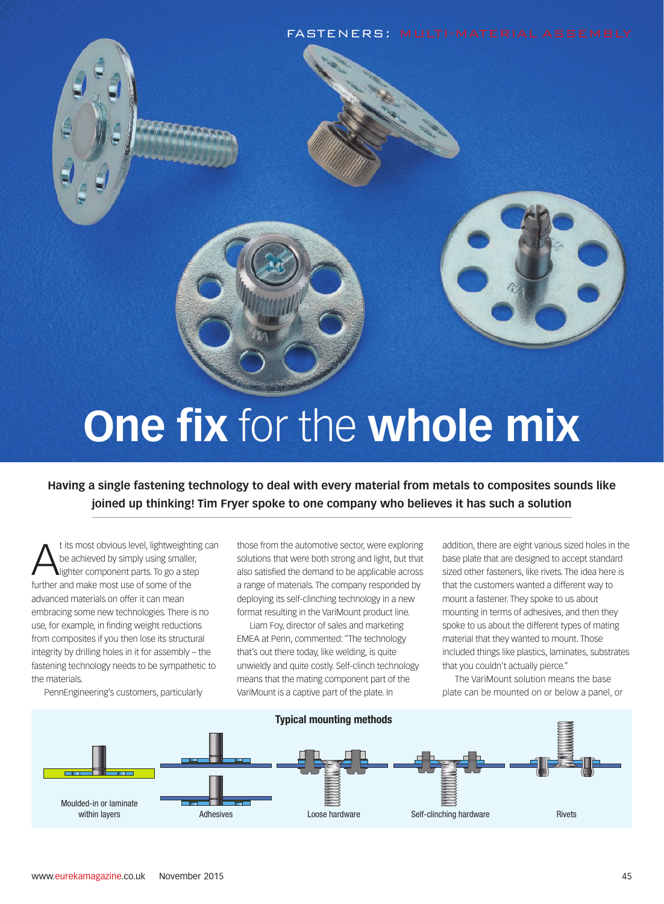





## **One fix** for the **whole mix**

**Having a single fastening technology to deal with every material from metals to composites sounds like joined up thinking! Tim Fryer spoke to one company who believes it has such a solution**

t its most obvious level, lightweight<br>be achieved by simply using smalle<br>further and make most use of some of the t its most obvious level, lightweighting can be achieved by simply using smaller, lighter component parts. To go a step advanced materials on offer it can mean embracing some new technologies. There is no use, for example, in finding weight reductions from composites if you then lose its structural integrity by drilling holes in it for assembly – the fastening technology needs to be sympathetic to the materials.

PennEngineering's customers, particularly

those from the automotive sector, were exploring solutions that were both strong and light, but that also satisfied the demand to be applicable across a range of materials. The company responded by deploying its self-clinching technology in a new format resulting in the VariMount product line.

Liam Foy, director of sales and marketing EMEA at Penn, commented: "The technology that's out there today, like welding, is quite unwieldy and quite costly. Self-clinch technology means that the mating component part of the VariMount is a captive part of the plate. In

addition, there are eight various sized holes in the base plate that are designed to accept standard sized other fasteners, like rivets. The idea here is that the customers wanted a different way to mount a fastener. They spoke to us about mounting in terms of adhesives, and then they spoke to us about the different types of mating material that they wanted to mount. Those included things like plastics, laminates, substrates that you couldn't actually pierce."

The VariMount solution means the base plate can be mounted on or below a panel, or